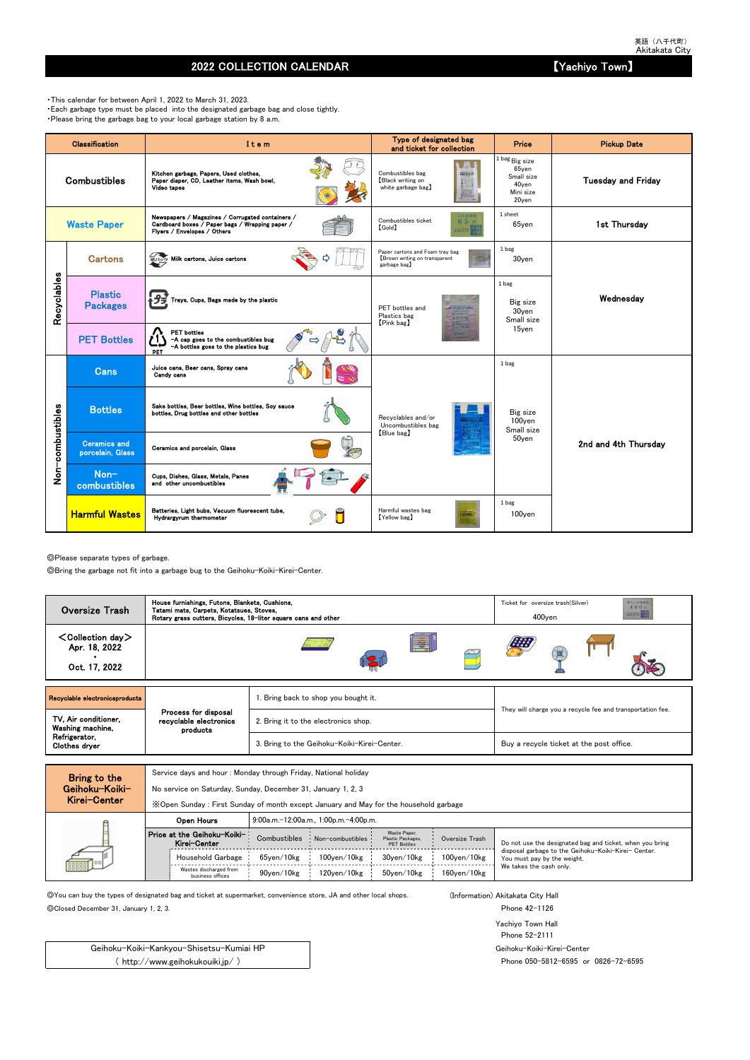## 2022 COLLECTION CALENDAR **Extending the COLLECTION CALENDAR NAMEL SETS A A EXECUTION**  $\left[$  Yachiyo Town

◎Please separate types of garbage.

◎Bring the garbage not fit into a garbage bug to the Geihoku-Koiki-Kirei-Center.

Service days and hour : Monday through Friday, National holiday

No service on Saturday, Sunday, December 31, January 1, 2, 3

◎You can buy the types of designated bag and ticket at supermarket, convenience store, JA and other local shops. (Information) Akitakata City Hall

◎Closed December 31, January 1, 2, 3. Phone 42-1126

Yachiyo Town Hall Phone 52-2111 Geihoku-Koiki-Kirei-Center Phone 050-5812-6595 or 0826-72-6595

・This calendar for between April 1, 2022 to March 31, 2023. ・Each garbage type must be placed into the designated garbage bag and close tightly. ・Please bring the garbage bag to your local garbage station by 8 a.m.

|                  | <b>Classification</b>                   | Item                                                                                                                               | Type of designated bag<br>and ticket for collection                             | Price                                                                                   | <b>Pickup Date</b>        |  |  |
|------------------|-----------------------------------------|------------------------------------------------------------------------------------------------------------------------------------|---------------------------------------------------------------------------------|-----------------------------------------------------------------------------------------|---------------------------|--|--|
|                  | <b>Combustibles</b>                     | Kitchen garbage, Papers, Used clothes,<br>Paper diaper, CD, Leather items, Wash bowl,<br>Video tapes                               | Combustibles bag<br>2個えるごみ(の)<br>Black writing on<br>white garbage bag)         | $^{1 \, \rm{bag}}$ Big size<br>$65$ yen<br>Small size<br>40yen<br>Mini size<br>$20$ yen | <b>Tuesday and Friday</b> |  |  |
|                  | <b>Waste Paper</b>                      | Newspapers / Magazines / Corrugated containers /<br>Cardboard boxes / Paper bags / Wrapping paper /<br>Flyers / Envelopes / Others | ごみ処理券<br>Combustibles ticket<br>65円<br><b>[Gold]</b><br><b>BUARS</b>            | 1 sheet<br>$65$ yen                                                                     | 1st Thursday              |  |  |
|                  | <b>Cartons</b>                          | 紙パック Milk cartons, Juice cartons                                                                                                   | Paper cartons and Foam tray bag<br>Brown writing on transparent<br>garbage bag) | 1 bag<br>30yen                                                                          |                           |  |  |
| Recyclables      | <b>Plastic</b><br><b>Packages</b>       | Trays, Cups, Bags made by the plastic                                                                                              | PET bottles and<br>Plastics bag<br>[Pink bag]                                   | 1 bag<br>Big size<br>30yen<br>Small size                                                | Wednesday                 |  |  |
|                  | <b>PET Bottles</b>                      | <b>PET</b> bottles<br>-A cap goes to the combustibles bug<br>-A bottles goes to the plastics bug<br>PET                            |                                                                                 | 15yen                                                                                   |                           |  |  |
|                  | <b>Cans</b>                             | Juice cans, Beer cans, Spray cans<br>Candy cans                                                                                    |                                                                                 | 1 bag                                                                                   |                           |  |  |
|                  | <b>Bottles</b>                          | Sake bottles, Beer bottles, Wine bottles, Soy sauce<br>bottles, Drug bottles and other bottles                                     | Recyclables and/or<br>Uncombustibles bag                                        | Big size<br>100yen<br>Small size                                                        |                           |  |  |
| Non-combustibles | <b>Ceramics and</b><br>porcelain, Glass | Ceramics and porcelain, Glass                                                                                                      | [Blue bag]                                                                      | 50yen                                                                                   | 2nd and 4th Thursdav      |  |  |
|                  | Non-<br>combustibles                    | Cups, Dishes, Glass, Metals, Panes<br>and other uncombustibles                                                                     |                                                                                 |                                                                                         |                           |  |  |
|                  | <b>Harmful Wastes</b>                   | Batteries, Light bubs, Vacuum fluorescent tube,<br>Hydrargyrum thermometer                                                         | Harmful wastes bag<br>[Yellow bag]                                              | 1 bag<br>100yen                                                                         |                           |  |  |

| MIGI VEILEI |                                             | X Open Sunday: First Sunday of month except January and May for the household garbage |                                       |                                                         |                    |                                                                                     |  |  |  |  |  |  |  |  |  |
|-------------|---------------------------------------------|---------------------------------------------------------------------------------------|---------------------------------------|---------------------------------------------------------|--------------------|-------------------------------------------------------------------------------------|--|--|--|--|--|--|--|--|--|
|             | Open Hours                                  |                                                                                       | 9:00a.m.-12:00a.m., 1:00p.m.-4:00p.m. |                                                         |                    |                                                                                     |  |  |  |  |  |  |  |  |  |
|             | Price at the Geihoku-Koiki-<br>Kirei-Center | Combustibles                                                                          | Non-combustibles                      | Waste Paper.<br>Plastic Packages,<br><b>PET Bottles</b> | Oversize Trash     | Do not use the designated bag and ticket, when you bring                            |  |  |  |  |  |  |  |  |  |
| 000000      | Household Garbage                           | 65ven/10kg                                                                            | $100$ ven $/10$ kg                    | 30ven/10kg                                              | $100$ yen $/10$ kg | disposal garbage to the Geihoku-Koiki-Kirei- Center.<br>You must pay by the weight. |  |  |  |  |  |  |  |  |  |
|             | Wastes discharged from<br>business offices  | 90ven/10kg                                                                            | 120ven/10kg                           | 50ven/10kg                                              | $160$ ven $/10$ kg | We takes the cash only.                                                             |  |  |  |  |  |  |  |  |  |

Geihoku-Koiki-Kankyou-Shisetsu-Kumiai HP ( http://www.geihokukouiki.jp/ )

| <b>Oversize Trash</b>                                       | House furnishings, Futons, Blankets, Cushions,<br>Tatami mats, Carpets, Kotatsues, Stoves,<br>Rotary grass cutters, Bicycles, 18-liter square cans and other |                                             | Ticket for oversize trash (Silver)<br>粗大ごみ処理券<br>400回<br><b>EXUMEN BRUSS</b><br>$400$ yen |
|-------------------------------------------------------------|--------------------------------------------------------------------------------------------------------------------------------------------------------------|---------------------------------------------|-------------------------------------------------------------------------------------------|
| $\leq$ Collection day $>$<br>Apr. 18, 2022<br>Oct. 17, 2022 |                                                                                                                                                              | E                                           |                                                                                           |
| Recyclable electronicsproducts                              |                                                                                                                                                              | 1. Bring back to shop you bought it.        |                                                                                           |
| TV, Air conditioner,<br>Washing machine,                    | Process for disposal<br>recyclable electronics<br>products                                                                                                   | 2. Bring it to the electronics shop.        | They will charge you a recycle fee and transportation fee.                                |
| Refrigerator,<br>Clothes dryer                              |                                                                                                                                                              | 3. Bring to the Geihoku-Koiki-Kirei-Center. | Buy a recycle ticket at the post office.                                                  |
|                                                             |                                                                                                                                                              |                                             |                                                                                           |

| Bring to the   |
|----------------|
| Geihoku−Koiki− |
| Kirei-Center   |